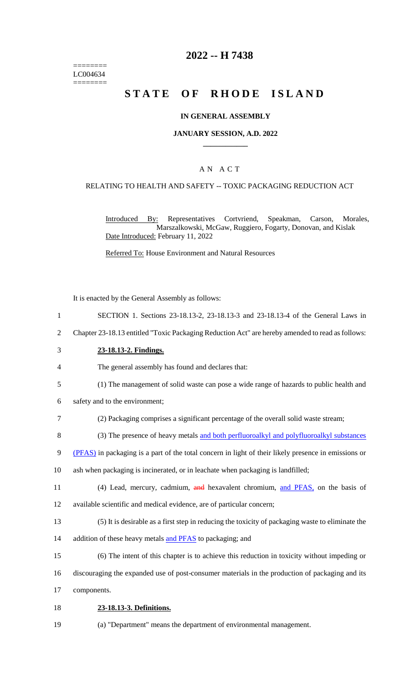======== LC004634 ========

# **2022 -- H 7438**

# **STATE OF RHODE ISLAND**

#### **IN GENERAL ASSEMBLY**

#### **JANUARY SESSION, A.D. 2022 \_\_\_\_\_\_\_\_\_\_\_\_**

### A N A C T

#### RELATING TO HEALTH AND SAFETY -- TOXIC PACKAGING REDUCTION ACT

Introduced By: Representatives Cortvriend, Speakman, Carson, Morales, Marszalkowski, McGaw, Ruggiero, Fogarty, Donovan, and Kislak Date Introduced: February 11, 2022

Referred To: House Environment and Natural Resources

It is enacted by the General Assembly as follows:

- 1 SECTION 1. Sections 23-18.13-2, 23-18.13-3 and 23-18.13-4 of the General Laws in
- 2 Chapter 23-18.13 entitled "Toxic Packaging Reduction Act" are hereby amended to read as follows:
- 3 **23-18.13-2. Findings.**
- 4 The general assembly has found and declares that:
- 5 (1) The management of solid waste can pose a wide range of hazards to public health and
- 6 safety and to the environment;
- 7 (2) Packaging comprises a significant percentage of the overall solid waste stream;
- 8 (3) The presence of heavy metals and both perfluoroalkyl and polyfluoroalkyl substances
- 9 (PFAS) in packaging is a part of the total concern in light of their likely presence in emissions or
- 10 ash when packaging is incinerated, or in leachate when packaging is landfilled;
- 11 (4) Lead, mercury, cadmium, and hexavalent chromium, and PFAS, on the basis of
- 12 available scientific and medical evidence, are of particular concern;
- 13 (5) It is desirable as a first step in reducing the toxicity of packaging waste to eliminate the
- 14 addition of these heavy metals and PFAS to packaging; and
- 15 (6) The intent of this chapter is to achieve this reduction in toxicity without impeding or
- 16 discouraging the expanded use of post-consumer materials in the production of packaging and its
- 17 components.
- 18 **23-18.13-3. Definitions.**
- 19 (a) "Department" means the department of environmental management.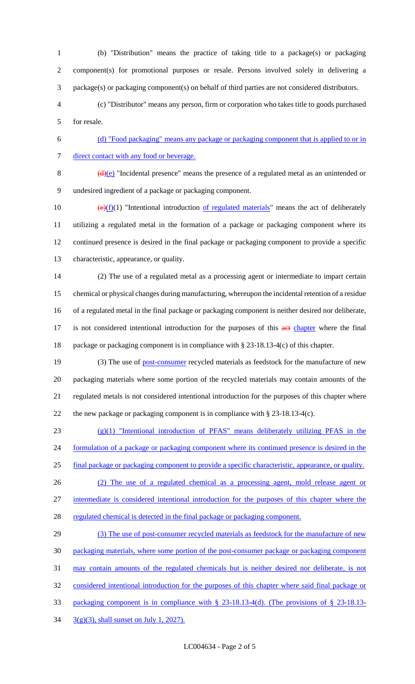- (b) "Distribution" means the practice of taking title to a package(s) or packaging component(s) for promotional purposes or resale. Persons involved solely in delivering a package(s) or packaging component(s) on behalf of third parties are not considered distributors.
- (c) "Distributor" means any person, firm or corporation who takes title to goods purchased for resale.

 (d) "Food packaging" means any package or packaging component that is applied to or in 7 direct contact with any food or beverage.

 $\left(\frac{d}{e}\right)$  "Incidental presence" means the presence of a regulated metal as an unintended or

undesired ingredient of a package or packaging component.

 $\left(\frac{e}{f}(1)\right)$  "Intentional introduction <u>of regulated materials</u>" means the act of deliberately utilizing a regulated metal in the formation of a package or packaging component where its continued presence is desired in the final package or packaging component to provide a specific characteristic, appearance, or quality.

 (2) The use of a regulated metal as a processing agent or intermediate to impart certain chemical or physical changes during manufacturing, whereupon the incidental retention of a residue of a regulated metal in the final package or packaging component is neither desired nor deliberate, 17 is not considered intentional introduction for the purposes of this act chapter where the final package or packaging component is in compliance with § 23-18.13-4(c) of this chapter.

19 (3) The use of post-consumer recycled materials as feedstock for the manufacture of new packaging materials where some portion of the recycled materials may contain amounts of the regulated metals is not considered intentional introduction for the purposes of this chapter where the new package or packaging component is in compliance with § 23-18.13-4(c).

(g)(1) "Intentional introduction of PFAS" means deliberately utilizing PFAS in the

formulation of a package or packaging component where its continued presence is desired in the

final package or packaging component to provide a specific characteristic, appearance, or quality.

(2) The use of a regulated chemical as a processing agent, mold release agent or

intermediate is considered intentional introduction for the purposes of this chapter where the

28 regulated chemical is detected in the final package or packaging component.

29 (3) The use of post-consumer recycled materials as feedstock for the manufacture of new packaging materials, where some portion of the post-consumer package or packaging component may contain amounts of the regulated chemicals but is neither desired nor deliberate, is not considered intentional introduction for the purposes of this chapter where said final package or packaging component is in compliance with § 23-18.13-4(d). (The provisions of § 23-18.13- 3(g)(3), shall sunset on July 1, 2027).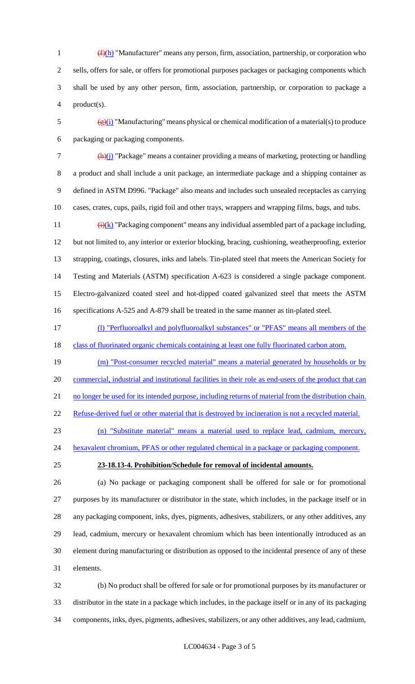(f)(h) "Manufacturer" means any person, firm, association, partnership, or corporation who sells, offers for sale, or offers for promotional purposes packages or packaging components which shall be used by any other person, firm, association, partnership, or corporation to package a product(s).

5  $\frac{g(x)}{g(x)}$  "Manufacturing" means physical or chemical modification of a material(s) to produce packaging or packaging components.

 (h)(j) "Package" means a container providing a means of marketing, protecting or handling a product and shall include a unit package, an intermediate package and a shipping container as defined in ASTM D996. "Package" also means and includes such unsealed receptacles as carrying cases, crates, cups, pails, rigid foil and other trays, wrappers and wrapping films, bags, and tubs.

 $\frac{(\mathbf{i}) (\mathbf{k})}{(\mathbf{k})}$  "Packaging component" means any individual assembled part of a package including, but not limited to, any interior or exterior blocking, bracing, cushioning, weatherproofing, exterior strapping, coatings, closures, inks and labels. Tin-plated steel that meets the American Society for Testing and Materials (ASTM) specification A-623 is considered a single package component. Electro-galvanized coated steel and hot-dipped coated galvanized steel that meets the ASTM specifications A-525 and A-879 shall be treated in the same manner as tin-plated steel.

- (l) "Perfluoroalkyl and polyfluoroalkyl substances" or "PFAS" means all members of the
- 18 class of fluorinated organic chemicals containing at least one fully fluorinated carbon atom.
- (m) "Post-consumer recycled material" means a material generated by households or by 20 commercial, industrial and institutional facilities in their role as end-users of the product that can

21 no longer be used for its intended purpose, including returns of material from the distribution chain.

Refuse-derived fuel or other material that is destroyed by incineration is not a recycled material.

(n) "Substitute material" means a material used to replace lead, cadmium, mercury,

24 hexavalent chromium, PFAS or other regulated chemical in a package or packaging component.

#### **23-18.13-4. Prohibition/Schedule for removal of incidental amounts.**

 (a) No package or packaging component shall be offered for sale or for promotional purposes by its manufacturer or distributor in the state, which includes, in the package itself or in any packaging component, inks, dyes, pigments, adhesives, stabilizers, or any other additives, any lead, cadmium, mercury or hexavalent chromium which has been intentionally introduced as an element during manufacturing or distribution as opposed to the incidental presence of any of these elements.

 (b) No product shall be offered for sale or for promotional purposes by its manufacturer or distributor in the state in a package which includes, in the package itself or in any of its packaging components, inks, dyes, pigments, adhesives, stabilizers, or any other additives, any lead, cadmium,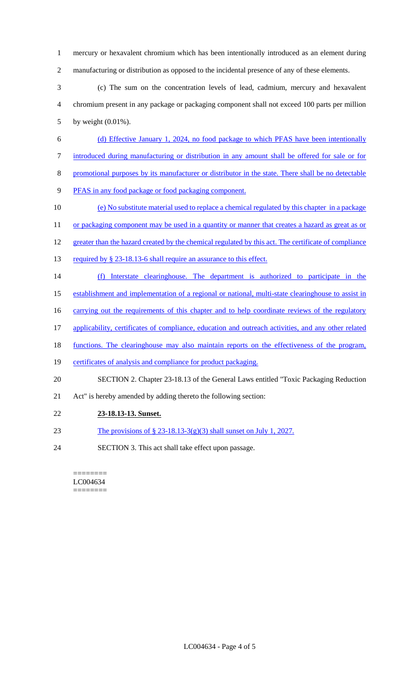mercury or hexavalent chromium which has been intentionally introduced as an element during manufacturing or distribution as opposed to the incidental presence of any of these elements.

 (c) The sum on the concentration levels of lead, cadmium, mercury and hexavalent chromium present in any package or packaging component shall not exceed 100 parts per million by weight (0.01%).

- (d) Effective January 1, 2024, no food package to which PFAS have been intentionally introduced during manufacturing or distribution in any amount shall be offered for sale or for
- promotional purposes by its manufacturer or distributor in the state. There shall be no detectable
- PFAS in any food package or food packaging component.
- (e) No substitute material used to replace a chemical regulated by this chapter in a package

11 or packaging component may be used in a quantity or manner that creates a hazard as great as or

- 12 greater than the hazard created by the chemical regulated by this act. The certificate of compliance
- 13 required by § 23-18.13-6 shall require an assurance to this effect.
- (f) Interstate clearinghouse. The department is authorized to participate in the
- establishment and implementation of a regional or national, multi-state clearinghouse to assist in
- 16 carrying out the requirements of this chapter and to help coordinate reviews of the regulatory
- applicability, certificates of compliance, education and outreach activities, and any other related
- 18 functions. The clearinghouse may also maintain reports on the effectiveness of the program,
- certificates of analysis and compliance for product packaging.
- SECTION 2. Chapter 23-18.13 of the General Laws entitled "Toxic Packaging Reduction
- Act" is hereby amended by adding thereto the following section:
- **23-18.13-13. Sunset.**
- 23 The provisions of  $\S$  23-18.13-3(g)(3) shall sunset on July 1, 2027.
- SECTION 3. This act shall take effect upon passage.

======== LC004634 ========